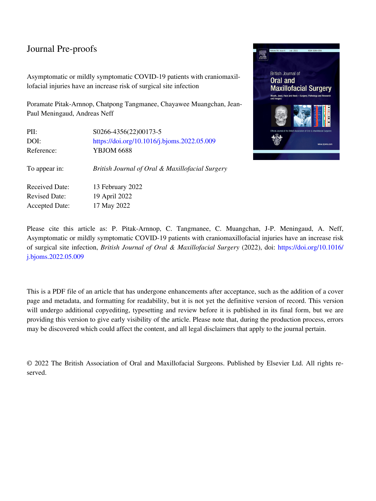## Journal Pre-proofs

Asymptomatic or mildly symptomatic COVID-19 patients with craniomaxillofacial injuries have an increase risk of surgical site infection

Poramate Pitak-Arnnop, Chatpong Tangmanee, Chayawee Muangchan, Jean-Paul Meningaud, Andreas Neff

| PII:                  | S0266-4356(22)00173-5                           |  |  |  |  |
|-----------------------|-------------------------------------------------|--|--|--|--|
| DOI:                  | https://doi.org/10.1016/j.bjoms.2022.05.009     |  |  |  |  |
| Reference:            | <b>YBJOM 6688</b>                               |  |  |  |  |
| To appear in:         | British Journal of Oral & Maxillofacial Surgery |  |  |  |  |
| Received Date:        | 13 February 2022                                |  |  |  |  |
| <b>Revised Date:</b>  | 19 April 2022                                   |  |  |  |  |
| <b>Accepted Date:</b> | 17 May 2022                                     |  |  |  |  |



Please cite this article as: P. Pitak-Arnnop, C. Tangmanee, C. Muangchan, J-P. Meningaud, A. Neff, Asymptomatic or mildly symptomatic COVID-19 patients with craniomaxillofacial injuries have an increase risk of surgical site infection, *British Journal of Oral & Maxillofacial Surgery* (2022), doi: [https://doi.org/10.1016/](https://doi.org/10.1016/j.bjoms.2022.05.009) [j.bjoms.2022.05.009](https://doi.org/10.1016/j.bjoms.2022.05.009)

This is a PDF file of an article that has undergone enhancements after acceptance, such as the addition of a cover page and metadata, and formatting for readability, but it is not yet the definitive version of record. This version will undergo additional copyediting, typesetting and review before it is published in its final form, but we are providing this version to give early visibility of the article. Please note that, during the production process, errors may be discovered which could affect the content, and all legal disclaimers that apply to the journal pertain.

© 2022 The British Association of Oral and Maxillofacial Surgeons. Published by Elsevier Ltd. All rights reserved.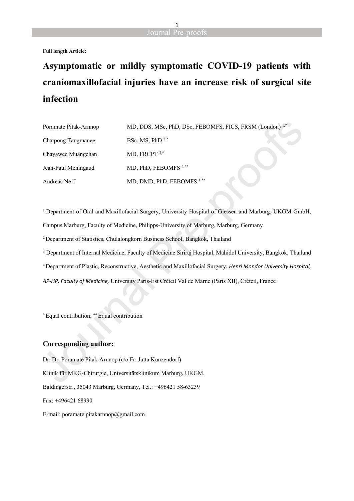

**Full length Article:**

## **Asymptomatic or mildly symptomatic COVID-19 patients with craniomaxillofacial injuries have an increase risk of surgical site infection**

| Poramate Pitak-Arnnop | MD, DDS, MSc, PhD, DSc, FEBOMFS, FICS, FRSM (London) <sup>1,*</sup> |  |
|-----------------------|---------------------------------------------------------------------|--|
| Chatpong Tangmanee    | BSc, MS, PhD $2,*$                                                  |  |
| Chayawee Muangchan    | MD, FRCPT $3,*$                                                     |  |
| Jean-Paul Meningaud   | MD, PhD, FEBOMFS <sup>4,**</sup>                                    |  |
| Andreas Neff          | MD, DMD, PhD, FEBOMFS <sup>1,**</sup>                               |  |

<sup>1</sup> Department of Oral and Maxillofacial Surgery, University Hospital of Giessen and Marburg, UKGM GmbH, Campus Marburg, Faculty of Medicine, Philipps-University of Marburg, Marburg, Germany <sup>2</sup>Department of Statistics, Chulalongkorn Business School, Bangkok, Thailand 3 Department of Internal Medicine, Faculty of Medicine Siriraj Hospital, Mahidol University, Bangkok, Thailand <sup>4</sup>Department of Plastic, Reconstructive, Aesthetic and Maxillofacial Surgery, *Henri Mondor University Hospital, AP-HP, Faculty of Medicine,* University Paris-Est Créteil Val de Marne (Paris XII), Créteil, France

\* Equal contribution; \*\* Equal contribution

#### **Corresponding author:**

Dr. Dr. Poramate Pitak-Arnnop (c/o Fr. Jutta Kunzendorf) Klinik für MKG-Chirurgie, Universitätsklinikum Marburg, UKGM, Baldingerstr., 35043 Marburg, Germany, Tel.: +496421 58-63239 Fax: +496421 68990 E-mail: poramate.pitakarnnop@gmail.com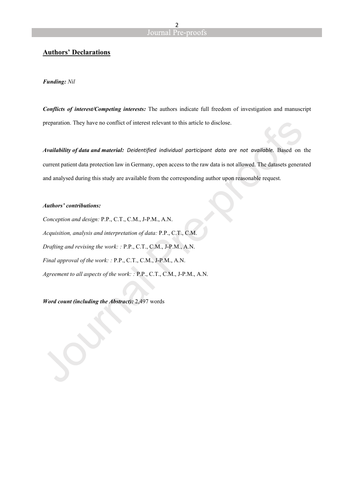#### **Authors' Declarations**

#### *Funding: Nil*

*Conflicts of interest/Competing interests:* The authors indicate full freedom of investigation and manuscript preparation. They have no conflict of interest relevant to this article to disclose.

*Availability of data and material: Deidentified individual participant data are not available.* Based on the current patient data protection law in Germany, open access to the raw data is not allowed. The datasets generated and analysed during this study are available from the corresponding author upon reasonable request.

#### *Authors' contributions:*

*Conception and design:* P.P., C.T., C.M., J-P.M., A.N. *Acquisition, analysis and interpretation of data:* P.P., C.T., C.M. *Drafting and revising the work: :* P.P., C.T., C.M., J-P.M., A.N. *Final approval of the work: :* P.P., C.T., C.M., J-P.M., A.N. *Agreement to all aspects of the work: :* P.P., C.T., C.M., J-P.M., A.N.

*Word count (including the Abstract):* 2,497 words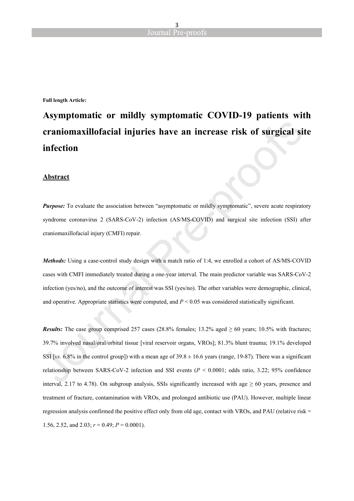**Full length Article:**

## **Asymptomatic or mildly symptomatic COVID-19 patients with craniomaxillofacial injuries have an increase risk of surgical site infection**

#### **Abstract**

*Purpose:* To evaluate the association between "asymptomatic or mildly symptomatic", severe acute respiratory syndrome coronavirus 2 (SARS-CoV-2) infection (AS/MS-COVID) and surgical site infection (SSI) after craniomaxillofacial injury (CMFI) repair.

*Methods:* Using a case-control study design with a match ratio of 1:4, we enrolled a cohort of AS/MS-COVID cases with CMFI immediately treated during a one-year interval. The main predictor variable was SARS-CoV-2 infection (yes/no), and the outcome of interest was SSI (yes/no). The other variables were demographic, clinical, and operative. Appropriate statistics were computed, and *P* < 0.05 was considered statistically significant.

*Results:* The case group comprised 257 cases (28.8% females; 13.2% aged  $\geq 60$  years; 10.5% with fractures; 39.7% involved nasal/oral/orbital tissue [viral reservoir organs, VROs]; 81.3% blunt trauma; 19.1% developed SSI [ $vs. 6.8\%$  in the control group]) with a mean age of  $39.8 \pm 16.6$  years (range, 19-87). There was a significant relationship between SARS-CoV-2 infection and SSI events (*P* < 0.0001; odds ratio, 3.22; 95% confidence interval, 2.17 to 4.78). On subgroup analysis, SSIs significantly increased with age  $\geq 60$  years, presence and treatment of fracture, contamination with VROs, and prolonged antibiotic use (PAU). However, multiple linear regression analysis confirmed the positive effect only from old age, contact with VROs, and PAU (relative risk = 1.56, 2.52, and 2.03;  $r = 0.49$ ;  $P = 0.0001$ ).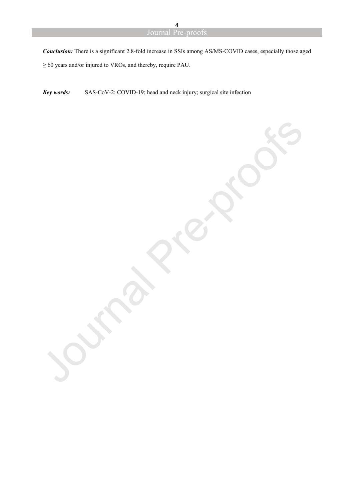*Conclusion:* There is a significant 2.8-fold increase in SSIs among AS/MS-COVID cases, especially those aged ≥ 60 years and/or injured to VROs, and thereby, require PAU.

*Key words:* SAS-CoV-2; COVID-19; head and neck injury; surgical site infection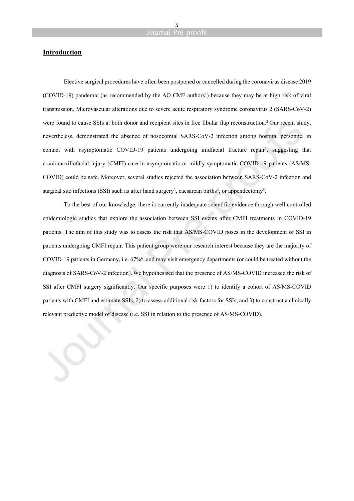#### **Introduction**

Elective surgical procedures have often been postponed or cancelled during the coronavirus disease 2019 (COVID-19) pandemic (as recommended by the AO CMF authors<sup>1</sup>) because they may be at high risk of viral transmission. Microvascular alterations due to severe acute respiratory syndrome coronavirus 2 (SARS-CoV-2) were found to cause SSIs at both donor and recipient sites in free fibular flap reconstruction.<sup>2</sup> Our recent study, nevertheless, demonstrated the absence of nosocomial SARS-CoV-2 infection among hospital personnel in contact with asymptomatic COVID-19 patients undergoing midfacial fracture repair<sup>1</sup>, suggesting that craniomaxillofacial injury (CMFI) care in asymptomatic or mildly symptomatic COVID-19 patients (AS/MS-COVID) could be safe. Moreover, several studies rejected the association between SARS-CoV-2 infection and surgical site infections (SSI) such as after hand surgery<sup>3</sup>, caesarean births<sup>4</sup>, or appendectomy<sup>5</sup>.

To the best of our knowledge, there is currently inadequate scientific evidence through well controlled epidemiologic studies that explore the association between SSI events after CMFI treatments in COVID-19 patients. The aim of this study was to assess the risk that AS/MS-COVID poses in the development of SSI in patients undergoing CMFI repair. This patient group were our research interest because they are the majority of COVID-19 patients in Germany, i.e. 67%<sup>6</sup> , and may visit emergency departments (or could be treated without the diagnosis of SARS-CoV-2 infection). We hypothesised that the presence of AS/MS-COVID increased the risk of SSI after CMFI surgery significantly. Our specific purposes were 1) to identify a cohort of AS/MS-COVID patients with CMFI and estimate SSIs, 2) to assess additional risk factors for SSIs, and 3) to construct a clinically relevant predictive model of disease (i.e. SSI in relation to the presence of AS/MS-COVID).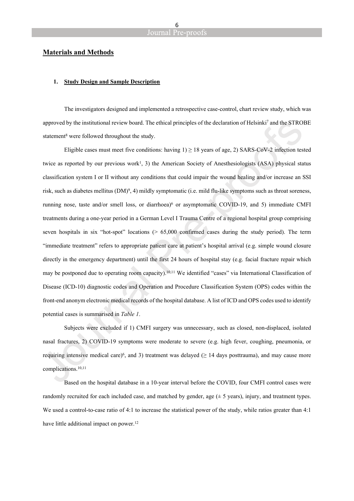#### **Materials and Methods**

#### **1. Study Design and Sample Description**

The investigators designed and implemented a retrospective case-control, chart review study, which was approved by the institutional review board. The ethical principles of the declaration of Helsinki<sup>7</sup> and the STROBE statement<sup>8</sup> were followed throughout the study.

Eligible cases must meet five conditions: having  $1 \geq 18$  years of age, 2) SARS-CoV-2 infection tested twice as reported by our previous work<sup>1</sup>, 3) the American Society of Anesthesiologists (ASA) physical status classification system I or II without any conditions that could impair the wound healing and/or increase an SSI risk, such as diabetes mellitus (DM)<sup>9</sup>, 4) mildly symptomatic (i.e. mild flu-like symptoms such as throat soreness, running nose, taste and/or smell loss, or diarrhoea)<sup>6</sup> or asymptomatic COVID-19, and 5) immediate CMFI treatments during a one-year period in a German Level I Trauma Centre of a regional hospital group comprising seven hospitals in six "hot-spot" locations (> 65,000 confirmed cases during the study period). The term "immediate treatment" refers to appropriate patient care at patient's hospital arrival (e.g. simple wound closure directly in the emergency department) until the first 24 hours of hospital stay (e.g. facial fracture repair which may be postponed due to operating room capacity).<sup>10,11</sup> We identified "cases" via International Classification of Disease (ICD-10) diagnostic codes and Operation and Procedure Classification System (OPS) codes within the front-end anonym electronic medical records of the hospital database. A list of ICD and OPS codes used to identify potential cases is summarised in *Table 1*.

Subjects were excluded if 1) CMFI surgery was unnecessary, such as closed, non-displaced, isolated nasal fractures, 2) COVID-19 symptoms were moderate to severe (e.g. high fever, coughing, pneumonia, or requiring intensive medical care)<sup>6</sup>, and 3) treatment was delayed ( $\geq$  14 days posttrauma), and may cause more complications.10,11

Based on the hospital database in a 10-year interval before the COVID, four CMFI control cases were randomly recruited for each included case, and matched by gender, age  $(\pm 5 \text{ years})$ , injury, and treatment types. We used a control-to-case ratio of 4:1 to increase the statistical power of the study, while ratios greater than 4:1 have little additional impact on power.<sup>12</sup>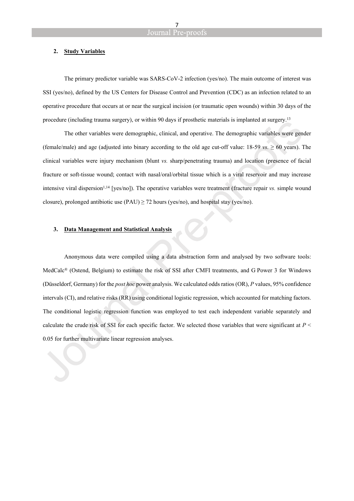#### **2. Study Variables**

The primary predictor variable was SARS-CoV-2 infection (yes/no). The main outcome of interest was SSI (yes/no), defined by the US Centers for Disease Control and Prevention (CDC) as an infection related to an operative procedure that occurs at or near the surgical incision (or traumatic open wounds) within 30 days of the procedure (including trauma surgery), or within 90 days if prosthetic materials is implanted at surgery.<sup>13</sup>

The other variables were demographic, clinical, and operative. The demographic variables were gender (female/male) and age (adjusted into binary according to the old age cut-off value:  $18-59$  *vs.*  $\geq 60$  years). The clinical variables were injury mechanism (blunt *vs.* sharp/penetrating trauma) and location (presence of facial fracture or soft-tissue wound; contact with nasal/oral/orbital tissue which is a viral reservoir and may increase intensive viral dispersion<sup>1,14</sup> [yes/no]). The operative variables were treatment (fracture repair *vs.* simple wound closure), prolonged antibiotic use (PAU)  $\geq$  72 hours (yes/no), and hospital stay (yes/no).

#### **3. Data Management and Statistical Analysis**

Anonymous data were compiled using a data abstraction form and analysed by two software tools: MedCalc® (Ostend, Belgium) to estimate the risk of SSI after CMFI treatments, and G Power 3 for Windows (Düsseldorf, Germany) for the *post hoc* power analysis. We calculated odds ratios (OR), *P* values, 95% confidence intervals (CI), and relative risks (RR) using conditional logistic regression, which accounted for matching factors. The conditional logistic regression function was employed to test each independent variable separately and calculate the crude risk of SSI for each specific factor. We selected those variables that were significant at *P* < 0.05 for further multivariate linear regression analyses.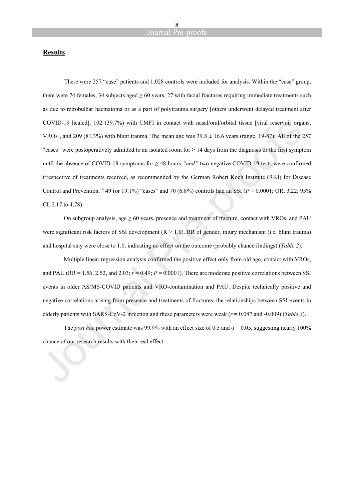#### **Results**

There were 257 "case" patients and 1,028 controls were included for analysis. Within the "case" group, there were 74 females, 34 subjects aged  $\geq 60$  years, 27 with facial fractures requiring immediate treatments such as due to retrobulbar haematoma or as a part of polytrauma surgery [others underwent delayed treatment after COVID-19 healed], 102 (39.7%) with CMFI in contact with nasal/oral/orbital tissue [viral reservoir organs, VROs], and 209 (81.3%) with blunt trauma. The mean age was  $39.8 \pm 16.6$  years (range, 19-87). All of the 257 "cases" were postoperatively admitted to an isolated room for  $\geq 14$  days from the diagnosis or the first symptom until the absence of COVID-19 symptoms for ≥ 48 hours *"and"* two negative COVID-19 tests were confirmed irrespective of treatments received, as recommended by the German Robert Koch Institute (RKI) for Disease Control and Prevention.<sup>15</sup> 49 (or 19.1%) "cases" and 70 (6.8%) controls had an SSI (*P* = 0.0001; OR, 3.22; 95% CI, 2.17 to 4.78).

On subgroup analysis, age  $\geq 60$  years, presence and treatment of fracture, contact with VROs, and PAU were significant risk factors of SSI development  $(R > 1.0)$ . RR of gender, injury mechanism (i.e. blunt trauma) and hospital stay were close to 1.0, indicating no effect on the outcome (probably chance findings) (*Table 2*).

Multiple linear regression analysis confirmed the positive effect only from old age, contact with VROs, and PAU (RR = 1.56, 2.52, and 2.03;  $r = 0.49$ ;  $P = 0.0001$ ). There are moderate positive correlations between SSI events in older AS/MS-COVID patients and VRO-contamination and PAU. Despite technically positive and negative correlations arising from presence and treatments of fractures, the relationships between SSI events in elderly patients with SARS-CoV-2 infection and these parameters were weak (*r* = 0.087 and -0.009) (*Table 3*).

The *post hoc* power estimate was 99.9% with an effect size of 0.5 and  $\alpha$  = 0.05, suggesting nearly 100% chance of our research results with their real effect.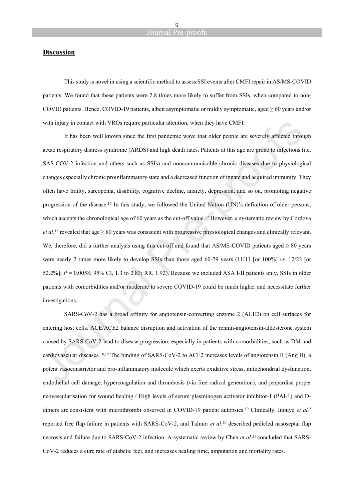#### **Discussion**

This study is novel in using a scientific method to assess SSI events after CMFI repair in AS/MS-COVID patients. We found that these patients were 2.8 times more likely to suffer from SSIs, when compared to non-COVID patients. Hence, COVID-19 patients, albeit asymptomatic or mildly symptomatic, aged  $\geq 60$  years and/or with injury in contact with VROs require particular attention, when they have CMFI.

It has been well known since the first pandemic wave that older people are severely affected through acute respiratory distress syndrome (ARDS) and high death rates. Patients at this age are prone to infections (i.e. SAS-COV-2 infection and others such as SSIs) and noncommunicable chronic diseases due to physiological changes especially chronic proinflammatory state and a decreased function of innate and acquired immunity. They often have frailty, sarcopenia, disability, cognitive decline, anxiety, depression, and so on, promoting negative progression of the disease.<sup>16</sup> In this study, we followed the United Nation (UN)'s definition of older persons, which accepts the chronological age of 60 years as the cut-off value.<sup>17</sup> However, a systematic review by Córdova *et al.*<sup>16</sup> revealed that age  $\geq 80$  years was consistent with progressive physiological changes and clinically relevant. We, therefore, did a further analysis using this cut-off and found that AS/MS-COVID patients aged  $> 80$  years were nearly 2 times more likely to develop SSIs than those aged 60-79 years (11/11 [or 100%] *vs.* 12/23 [or 52.2%]; *P* = 0.0058; 95% CI, 1.3 to 2.83; RR, 1.92). Because we included ASA I-II patients only, SSIs in older patients with comorbidities and/or moderate to severe COVID-19 could be much higher and necessitate further investigations.

SARS-CoV-2 has a broad affinity for angiotensin-converting enzyme 2 (ACE2) on cell surfaces for entering host cells. ACE/ACE2 balance disruption and activation of the rennin-angiotensin-aldosterone system caused by SARS-CoV-2 lead to disease progression, especially in patients with comorbidities, such as DM and cardiovascular diseases.18,19 The binding of SARS-CoV-2 to ACE2 increases levels of angiotensin II (Ang II), a potent vasoconstrictor and pro-inflammatory molecule which exerts oxidative stress, mitochondrial dysfunction, endothelial cell damage, hypercoagulation and thrombosis (via free radical generation), and jeopardise proper neovascularisation for wound healing.<sup>2</sup> High levels of serum plasminogen activator inhibitor-1 (PAI-1) and Ddimers are consistent with microthrombi observed in COVID-19 patient autopsies.<sup>19</sup> Clinically, Inouye *et al.*<sup>2</sup> reported free flap failure in patients with SARS-CoV-2, and Talmor *et al*. <sup>20</sup> described pedicled nasoseptal flap necrosis and failure due to SARS-CoV-2 infection. A systematic review by Chen *et al.*<sup>21</sup> concluded that SARS-CoV-2 reduces a cure rate of diabetic feet, and increases healing time, amputation and mortality rates.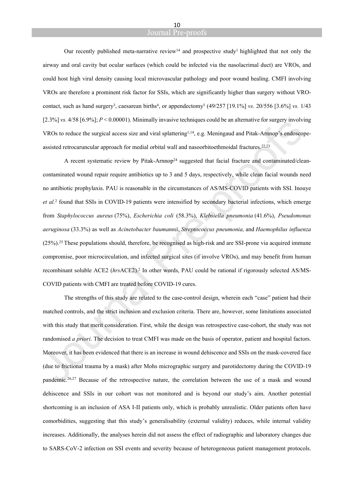#### Journal Pre-proofs

Our recently published meta-narrative review<sup>14</sup> and prospective study<sup>1</sup> highlighted that not only the airway and oral cavity but ocular surfaces (which could be infected via the nasolacrimal duct) are VROs, and could host high viral density causing local microvascular pathology and poor wound healing. CMFI involving VROs are therefore a prominent risk factor for SSIs, which are significantly higher than surgery without VROcontact, such as hand surgery<sup>3</sup>, caesarean births<sup>4</sup>, or appendectomy<sup>5</sup> (49/257 [19.1%] *vs.* 20/556 [3.6%] *vs.* 1/43 [2.3%] *vs.* 4/58 [6.9%]; *P* < 0.00001). Minimally invasive techniques could be an alternative for surgery involving VROs to reduce the surgical access size and viral splattering<sup>1,14</sup>, e.g. Meningaud and Pitak-Arnnop's endoscopeassisted retrocaruncular approach for medial orbital wall and nasoorbitoethmoidal fractures.22,23

A recent systematic review by Pitak-Arnnop<sup>24</sup> suggested that facial fracture and contaminated/cleancontaminated wound repair require antibiotics up to 3 and 5 days, respectively, while clean facial wounds need no antibiotic prophylaxis. PAU is reasonable in the circumstances of AS/MS-COVID patients with SSI. Inouye *et al.*<sup>2</sup> found that SSIs in COVID-19 patients were intensified by secondary bacterial infections, which emerge from *Staphylococcus aureus* (75%), *Escherichia coli* (58.3%), *Klebsiella pneumonia* (41.6%), *Pseudomonas aeruginosa* (33.3%) as well as *Acinetobacter baumannii*, *Streptococcus pneumonia,* and *Haemophilus influenza* (25%).<sup>25</sup>These populations should, therefore, be recognised as high-risk and are SSI-prone via acquired immune compromise, poor microcirculation, and infected surgical sites (if involve VROs), and may benefit from human recombinant soluble ACE2 (*hrs*ACE2).<sup>2</sup> In other words, PAU could be rational if rigorously selected AS/MS-COVID patients with CMFI are treated before COVID-19 cures.

The strengths of this study are related to the case-control design, wherein each "case" patient had their matched controls, and the strict inclusion and exclusion criteria. There are, however, some limitations associated with this study that merit consideration. First, while the design was retrospective case-cohort, the study was not randomised *a priori*. The decision to treat CMFI was made on the basis of operator, patient and hospital factors. Moreover, it has been evidenced that there is an increase in wound dehiscence and SSIs on the mask-covered face (due to frictional trauma by a mask) after Mohs micrographic surgery and parotidectomy during the COVID-19 pandemic.26,27 Because of the retrospective nature, the correlation between the use of a mask and wound dehiscence and SSIs in our cohort was not monitored and is beyond our study's aim. Another potential shortcoming is an inclusion of ASA I-II patients only, which is probably unrealistic. Older patients often have comorbidities, suggesting that this study's generalisability (external validity) reduces, while internal validity increases. Additionally, the analyses herein did not assess the effect of radiographic and laboratory changes due to SARS-CoV-2 infection on SSI events and severity because of heterogeneous patient management protocols.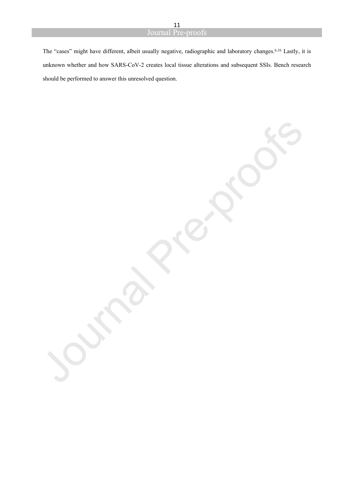The "cases" might have different, albeit usually negative, radiographic and laboratory changes.6,16 Lastly, it is unknown whether and how SARS-CoV-2 creates local tissue alterations and subsequent SSIs. Bench research should be performed to answer this unresolved question.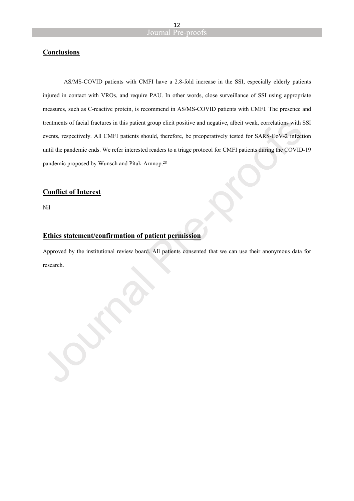#### **Conclusions**

AS/MS-COVID patients with CMFI have a 2.8-fold increase in the SSI, especially elderly patients injured in contact with VROs, and require PAU. In other words, close surveillance of SSI using appropriate measures, such as C-reactive protein, is recommend in AS/MS-COVID patients with CMFI. The presence and treatments of facial fractures in this patient group elicit positive and negative, albeit weak, correlations with SSI events, respectively. All CMFI patients should, therefore, be preoperatively tested for SARS-CoV-2 infection until the pandemic ends. We refer interested readers to a triage protocol for CMFI patients during the COVID-19 pandemic proposed by Wunsch and Pitak-Arnnop.<sup>28</sup>

#### **Conflict of Interest**

Nil

#### **Ethics statement/confirmation of patient permission**

Approved by the institutional review board. All patients consented that we can use their anonymous data for research.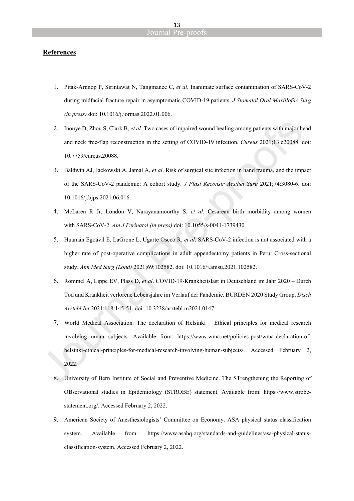#### **References**

- 1. Pitak-Arnnop P, Sirintawat N, Tangmanee C, *et al*. Inanimate surface contamination of SARS-CoV-2 during midfacial fracture repair in asymptomatic COVID-19 patients. *J Stomatol Oral Maxillofac Surg (in press)* doi: 10.1016/j.jormas.2022.01.006.
- 2. Inouye D, Zhou S, Clark B, *et al*. Two cases of impaired wound healing among patients with major head and neck free-flap reconstruction in the setting of COVID-19 infection. *Cureus* 2021;13:e20088. doi: 10.7759/cureus.20088.
- 3. Baldwin AJ, Jackowski A, Jamal A, *et al*. Risk of surgical site infection in hand trauma, and the impact of the SARS-CoV-2 pandemic: A cohort study. *J Plast Reconstr Aesthet Surg* 2021;74:3080-6. doi: 10.1016/j.bjps.2021.06.016.
- 4. McLaren R Jr, London V, Narayanamoorthy S, *et al*. Cesarean birth morbidity among women with SARS-CoV-2. *Am J Perinatol (in press)* doi: 10.1055/s-0041-1739430
- 5. Huamán Egoávil E, LaGrone L, Ugarte Oscco R, *et al*. SARS-CoV-2 infection is not associated with a higher rate of post-operative complications in adult appendectomy patients in Peru: Cross-sectional study. *Ann Med Surg (Lond)* 2021;69:102582. doi: 10.1016/j.amsu.2021.102582.
- 6. Rommel A, Lippe EV, Plass D, *et al*. COVID-19-Krankheitslast in Deutschland im Jahr 2020 Durch Tod und Krankheit verlorene Lebensjahre im Verlauf der Pandemie. BURDEN 2020 Study Group. *Dtsch Arztebl Int* 2021;118:145-51. doi: 10.3238/arztebl.m2021.0147.
- 7. World Medical Association. The declaration of Helsinki Ethical principles for medical research involving uman subjects. Available from: https://www.wma.net/policies-post/wma-declaration-ofhelsinki-ethical-principles-for-medical-research-involving-human-subjects/. Accessed February 2, 2022.
- 8. University of Bern Institute of Social and Preventive Medicine. The STrengthening the Reporting of OBservational studies in Epidemiology (STROBE) statement. Available from: https://www.strobestatement.org/. Accessed February 2, 2022.
- 9. American Society of Anesthesiologists' Committee on Economy. ASA physical status classification system. Available from: https://www.asahq.org/standards-and-guidelines/asa-physical-statusclassification-system. Accessed February 2, 2022.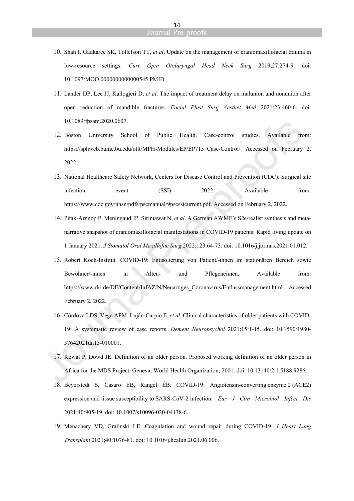- 10. Shah I, Gadkaree SK, Tollefson TT, *et al*. Update on the management of craniomaxillofacial trauma in low-resource settings. *Curr Opin Otolaryngol Head Neck Surg* 2019;27:274-9. doi: 10.1097/MOO.0000000000000545.PMID
- 11. Lander DP, Lee JJ, Kallogjeri D, *et al*. The impact of treatment delay on malunion and nonunion after open reduction of mandible fractures. *Facial Plast Surg Aesthet Med* 2021;23:460-6. doi: 10.1089/fpsam.2020.0607.
- 12. Boston University School of Public Health. Case-control studies. Available from: https://sphweb.bumc.bu.edu/otlt/MPH-Modules/EP/EP713\_Case-Control/. Accessed on February 2, 2022.
- 13. National Healthcare Safety Network, Centers for Disease Control and Prevention (CDC). Surgical site infection event (SSI) 2022. Available from: https://www.cdc.gov/nhsn/pdfs/pscmanual/9pscssicurrent.pdf. Accessed on February 2, 2022.
- 14. Pitak-Arnnop P, Meningaud JP, Sirintawat N, *et al*. A German AWMF's S2e/realist synthesis and metanarrative snapshot of craniomaxillofacial manifestations in COVID-19 patients: Rapid living update on 1 January 2021. *J Stomatol Oral Maxillofac Surg* 2022;123:64-73. doi: 10.1016/j.jormas.2021.01.012.
- 15. Robert Koch-Institut. COVID-19: Entisolierung von Patient/-innen im stationären Bereich sowie Bewohner/-innen in Alten- und Pflegeheimen. Available from: https://www.rki.de/DE/Content/InfAZ/N/Neuartiges\_Coronavirus/Entlassmanagement.html. Accessed February 2, 2022.
- 16. Córdova LDS, Vega APM, Luján-Carpio E, *et al*. Clinical characteristics of older patients with COVID-19: A systematic review of case reports. *Dement Neuropsychol* 2021;15:1-15. doi: 10.1590/1980- 57642021dn15-010001.
- 17. Kowal P, Dowd JE. Definition of an older person. Proposed working definition of an older person in Africa for the MDS Project. Geneva: World Health Organization; 2001. doi: 10.13140/2.1.5188.9286.
- 18. Beyerstedt S, Casaro EB, Rangel ÉB. COVID-19: Angiotensin-converting enzyme 2 (ACE2) expression and tissue susceptibility to SARS-CoV-2 infection. *Eur J Clin Microbiol Infect Dis* 2021;40:905-19. doi: 10.1007/s10096-020-04138-6.
- 19. Menachery VD, Gralinski LE. Coagulation and wound repair during COVID-19. *J Heart Lung Transplant* 2021;40:1076-81. doi: 10.1016/j.healun.2021.06.006.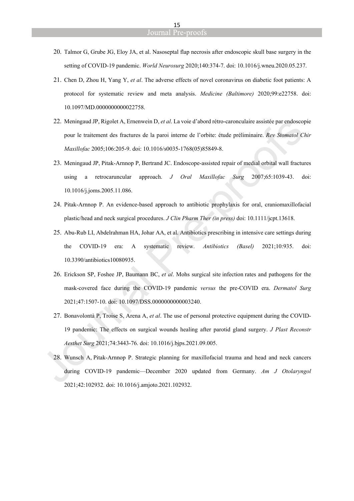- 20. Talmor G, Grube JG, Eloy JA, et al. Nasoseptal flap necrosis after endoscopic skull base surgery in the setting of COVID-19 pandemic. *World Neurosurg* 2020;140:374-7. doi: 10.1016/j.wneu.2020.05.237.
- 21. Chen D, Zhou H, Yang Y, *et al*. The adverse effects of novel coronavirus on diabetic foot patients: A protocol for systematic review and meta analysis. *Medicine (Baltimore)* 2020;99:e22758. doi: 10.1097/MD.0000000000022758.
- 22. Meningaud JP, Rigolet A, Ernenwein D, *et al*. La voie d'abord rétro-caronculaire assistée par endoscopie pour le traitement des fractures de la paroi interne de l'orbite: étude préliminaire. *Rev Stomatol Chir Maxillofac* 2005;106:205-9. doi: 10.1016/s0035-1768(05)85849-8.
- 23. Meningaud JP, Pitak-Arnnop P, Bertrand JC. Endoscope-assisted repair of medial orbital wall fractures using a retrocaruncular approach. *J Oral Maxillofac Surg* 2007;65:1039-43. doi: 10.1016/j.joms.2005.11.086.
- 24. Pitak-Arnnop P. An evidence-based approach to antibiotic prophylaxis for oral, craniomaxillofacial plastic/head and neck surgical procedures. *J Clin Pharm Ther (in press)* doi: 10.1111/jcpt.13618.
- 25. Abu-Rub LI, Abdelrahman HA, Johar AA, et al. Antibiotics prescribing in intensive care settings during the COVID-19 era: A systematic review. *Antibiotics (Basel)* 2021;10:935. doi: 10.3390/antibiotics10080935.
- 26. Erickson SP, Foshee JP, Baumann BC, *et al*. Mohs surgical site infection rates and pathogens for the mask-covered face during the COVID-19 pandemic *versus* the pre-COVID era. *Dermatol Surg* 2021;47:1507-10. doi: 10.1097/DSS.0000000000003240.
- 27. Bonavolontà P, Troise S, Arena A, *et al*. The use of personal protective equipment during the COVID-19 pandemic: The effects on surgical wounds healing after parotid gland surgery. *J Plast Reconstr Aesthet Surg* 2021;74:3443-76. doi: 10.1016/j.bjps.2021.09.005.
- 28. Wunsch A, Pitak-Arnnop P. Strategic planning for maxillofacial trauma and head and neck cancers during COVID-19 pandemic—December 2020 updated from Germany. *Am J Otolaryngol* 2021;42:102932. doi: 10.1016/j.amjoto.2021.102932.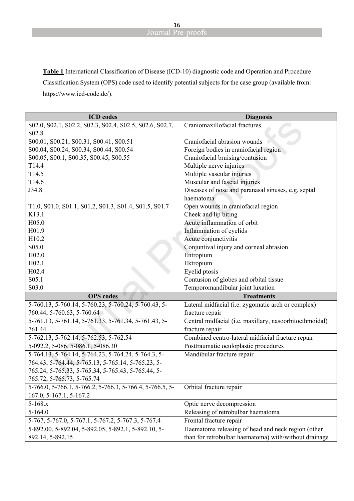**Table 1** International Classification of Disease (ICD-10) diagnostic code and Operation and Procedure Classification System (OPS) code used to identify potential subjects for the case group (available from: https://www.icd-code.de/).

| <b>ICD</b> codes                                         | <b>Diagnosis</b>                                        |
|----------------------------------------------------------|---------------------------------------------------------|
| S02.0, S02.1, S02.2, S02.3, S02.4, S02.5, S02.6, S02.7,  | Craniomaxillofacial fractures                           |
| S02.8                                                    |                                                         |
| S00.01, S00.21, S00.31, S00.41, S00.51                   | Craniofacial abrasion wounds                            |
| S00.04, S00.24, S00.34, S00.44, S00.54                   | Foreign bodies in craniofacial region                   |
| S00.05, S00.1, S00.35, S00.45, S00.55                    | Craniofacial bruising/contusion                         |
| T14.4                                                    | Multiple nerve injuries                                 |
| T14.5                                                    | Multiple vascular injuries                              |
| T14.6                                                    | Muscular and fascial injuries                           |
| J34.8                                                    | Diseases of nose and paranasal sinuses, e.g. septal     |
|                                                          | haematoma                                               |
| T1.0, S01.0, S01.1, S01.2, S01.3, S01.4, S01.5, S01.7    | Open wounds in craniofacial region                      |
| K13.1                                                    | Cheek and lip biting                                    |
| H05.0                                                    | Acute inflammation of orbit                             |
| H01.9                                                    | Inflammation of eyelids                                 |
| H10.2                                                    | Acute conjunctivitis                                    |
| S05.0                                                    | Conjuntival injury and corneal abrasion                 |
| H02.0                                                    | Entropium                                               |
| H02.1                                                    | Ektropium                                               |
| H02.4                                                    | Eyelid ptosis                                           |
| S05.1                                                    | Contusion of globes and orbital tissue                  |
| S03.0                                                    | Temporomandibular joint luxation                        |
| <b>OPS</b> codes                                         | <b>Treatments</b>                                       |
| 5-760.13, 5-760.14, 5-760.23, 5-760.24, 5-760.43, 5-     | Lateral midfacial (i.e. zygomatic arch or complex)      |
| 760.44, 5-760.63, 5-760.64                               | fracture repair                                         |
| 5-761.13, 5-761.14, 5-761.33, 5-761.34, 5-761.43, 5-     | Central midfacial (i.e. maxillary, nasoorbitoethmoidal) |
| 761.44                                                   | fracture repair                                         |
| 5-762.13, 5-762.14, 5-762.53, 5-762.54                   | Combined centro-lateral midfacial fracture repair       |
| 5-092.2, 5-086. 5-086.1, 5-086.30                        | Posttraumatic oculoplastic procedures                   |
| 5-764.13, 5-764.14, 5-764.23, 5-764.24, 5-764.3, 5-      | Mandibular fracture repair                              |
| 764.43, 5-764.44, 5-765.13, 5-765.14, 5-765.23, 5-       |                                                         |
| 765.24, 5-765.33, 5-765.34, 5-765.43, 5-765.44, 5-       |                                                         |
| 765.72, 5-765.73, 5-765.74                               |                                                         |
| 5-766.0, 5-766.1, 5-766.2, 5-766.3, 5-766.4, 5-766.5, 5- | Orbital fracture repair                                 |
| 167.0, 5-167.1, 5-167.2                                  |                                                         |
| $5-168.x$                                                | Optic nerve decompression                               |
| $5-164.0$                                                | Releasing of retrobulbar haematoma                      |
| 5-767, 5-767.0, 5-767.1, 5-767.2, 5-767.3, 5-767.4       | Frontal fracture repair                                 |
| 5-892.00, 5-892.04, 5-892.05, 5-892.1, 5-892.10, 5-      | Haematoma releasing of head and neck region (other      |
| 892.14, 5-892.15                                         | than for retrobulbar haematoma) with/without drainage   |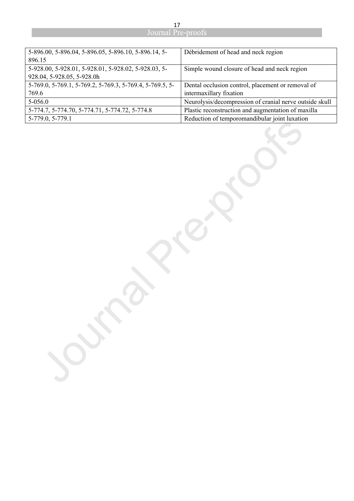| 5-896.00, 5-896.04, 5-896.05, 5-896.10, 5-896.14, 5-     | Débridement of head and neck region                     |
|----------------------------------------------------------|---------------------------------------------------------|
| 896.15                                                   |                                                         |
| 5-928.00, 5-928.01, 5-928.01, 5-928.02, 5-928.03, 5-     | Simple wound closure of head and neck region            |
| 928.04, 5-928.05, 5-928.0h                               |                                                         |
| 5-769.0, 5-769.1, 5-769.2, 5-769.3, 5-769.4, 5-769.5, 5- | Dental occlusion control, placement or removal of       |
| 769.6                                                    | intermaxillary fixation                                 |
| $5 - 056.0$                                              | Neurolysis/decompression of cranial nerve outside skull |
| 5-774.7, 5-774.70, 5-774.71, 5-774.72, 5-774.8           | Plastic reconstruction and augmentation of maxilla      |
| 5-779.0, 5-779.1                                         | Reduction of temporomandibular joint luxation           |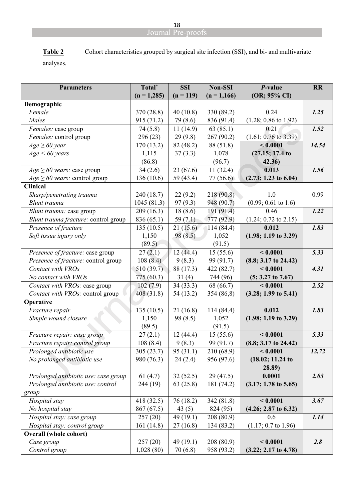| Table 2  | Cohort characteristics grouped by surgical site infection (SSI), and bi- and multivariate |
|----------|-------------------------------------------------------------------------------------------|
| analyses |                                                                                           |

analyses.

| <b>Parameters</b>                           | Total <sup>*</sup>     | <b>SSI</b>  | <b>Non-SSI</b> | P-value                         | <b>RR</b> |
|---------------------------------------------|------------------------|-------------|----------------|---------------------------------|-----------|
|                                             | $(n = 1,285)$          | $(n = 119)$ | $(n = 1,166)$  | (OR; 95% CI)                    |           |
| Demographic                                 |                        |             |                |                                 |           |
| Female                                      | 370 (28.8)             | 40(10.8)    | 330 (89.2)     | 0.24                            | 1.25      |
| Males                                       | 915 (71.2)             | 79 (8.6)    | 836 (91.4)     | $(1.28; 0.86 \text{ to } 1.92)$ |           |
| Females: case group                         | 74(5.8)                | 11(14.9)    | 63(85.1)       | 0.21                            | 1.52      |
| Females: control group                      | 296 (23)               | 29(9.8)     | 267 (90.2)     | $(1.61; 0.76 \text{ to } 3.39)$ |           |
| $Age \geq 60$ year                          | 170(13.2)              | 82 (48.2)   | 88 (51.8)      | < 0.0001                        | 14.54     |
| Age < 60 years                              | 1,115                  | 37(3.3)     | 1,078          | (27.15; 17.4t)                  |           |
|                                             | (86.8)                 |             | (96.7)         | 42.36                           |           |
| $Age \geq 60 \text{ years}$ : case group    | 34(2.6)                | 23(67.6)    | 11(32.4)       | 0.013                           | 1.56      |
| $Age \geq 60 \text{ years}$ : control group | 136(10.6)              | 59 (43.4)   | 77(56.6)       | $(2.73; 1.23$ to 6.04)          |           |
| <b>Clinical</b>                             |                        |             |                |                                 |           |
| Sharp/penetrating trauma                    | 240 (18.7)             | 22(9.2)     | 218 (90.8)     | 1.0                             | 0.99      |
| Blunt trauma                                | 1045(81.3)             | 97(9.3)     | 948 (90.7)     | $(0.99; 0.61$ to 1.6)           |           |
| Blunt trauma: case group                    | 209(16.3)              | 18(8.6)     | 191 (91.4)     | 0.46                            | 1.22      |
| Blunt trauma fracture: control group        | 836 (65.1)             | 59 $(7.1)$  | 777 (92.9)     | $(1.24; 0.72$ to $2.15)$        |           |
| Presence of fracture                        | 135(10.5)              | 21(15.6)    | 114(84.4)      | 0.012                           | 1.83      |
| Soft tissue injury only                     | 1,150                  | 98(8.5)     | 1,052          | $(1.98; 1.19$ to 3.29)          |           |
|                                             | (89.5)                 |             | (91.5)         |                                 |           |
| Presence of fracture: case group            | 27(2.1)                | 12(44.4)    | 15(55.6)       | < 0.0001                        | 5.33      |
| Presence of fracture: control group         | 108(8.4)               | 9(8.3)      | 99 (91.7)      | (8.8; 3.17t0 24.42)             |           |
| Contact with VROs                           | 510 (39.7)             | 88 (17.3)   | 422 (82.7)     | < 0.0001                        | 4.31      |
| No contact with VROs                        | 775 (60.3)             | 31(4)       | 744 (96)       | $(5; 3.27 \text{ to } 7.67)$    |           |
| Contact with VROs: case group               | 102(7.9)               | 34(33.3)    | 68 (66.7)      | < 0.0001                        | 2.52      |
| Contact with VROs: control group            | 408 (31.8)             | 54(13.2)    | 354 (86,8)     | (3.28; 1.99t 5.41)              |           |
| Operative                                   |                        |             |                |                                 |           |
| Fracture repair                             | 135(10.5)              | 21(16.8)    | 114(84.4)      | 0.012                           | 1.83      |
| Simple wound closure                        | 1,150                  | 98 (8.5)    | 1,052          | $(1.98; 1.19$ to 3.29)          |           |
|                                             | (89.5)                 |             | (91.5)         |                                 |           |
| Fracture repair: case group                 | 27(2.1)                | 12(44.4)    | 15(55.6)       | < 0.0001                        | 5.33      |
| Fracture repair: control group              | 108(8.4)               | 9(8.3)      | 99 (91.7)      | (8.8; 3.17t0 24.42)             |           |
| Prolonged antibiotic use                    | $\overline{305(23.7)}$ | 95(31.1)    | 210(68.9)      | < 0.0001                        | 12.72     |
| No prolonged antibiotic use                 | 980 (76.3)             | 24(2.4)     | 956 (97.6)     | (18.02; 11.24)                  |           |
|                                             |                        |             |                | 28.89)                          |           |
| Prolonged antibiotic use: case group        | 61(4.7)                | 32(52.5)    | 29(47.5)       | 0.0001                          | 2.03      |
| Prolonged antibiotic use: control           | 244 (19)               | 63(25.8)    | 181 (74.2)     | $(3.17; 1.78 \text{ to } 5.65)$ |           |
| group                                       |                        |             |                |                                 |           |
| Hospital stay                               | 418 (32.5)             | 76(18.2)    | 342 (81.8)     | < 0.0001                        | 3.67      |
| No hospital stay                            | 867 (67.5)             | 43(5)       | 824 (95)       | (4.26; 2.87t0 6.32)             |           |
| Hospital stay: case group                   | 257(20)                | 49(19.1)    | 208(80.9)      | 0.6                             | 1.14      |
| Hospital stay: control group                | 161 (14.8)             | 27(16.8)    | 134 (83.2)     | $(1.17; 0.7$ to 1.96)           |           |
| <b>Overall (whole cohort)</b>               |                        |             |                |                                 |           |
| Case group                                  | 257(20)                | 49(19.1)    | 208 (80.9)     | < 0.0001                        | 2.8       |
| Control group                               | 1,028(80)              | 70(6.8)     | 958 (93.2)     | $(3.22; 2.17$ to 4.78)          |           |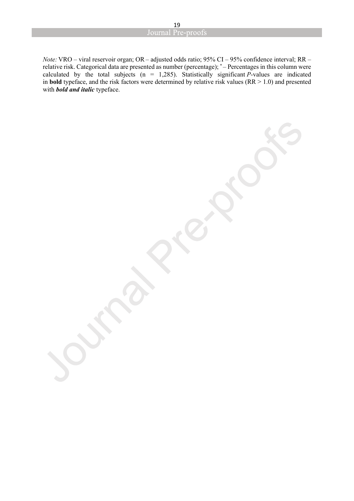*Note:* VRO – viral reservoir organ; OR– adjusted odds ratio; 95% CI – 95% confidence interval; RR – relative risk. Categorical data are presented as number (percentage); \* – Percentages in this column were calculated by the total subjects  $(n = 1,285)$ . Statistically significant *P*-values are indicated in **bold** typeface, and the risk factors were determined by relative risk values ( $RR > 1.0$ ) and presented with *bold and italic* typeface.